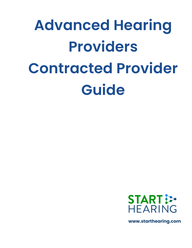# **Advanced Hearing Providers Contracted Provider Guide**



**www.starthearing.com**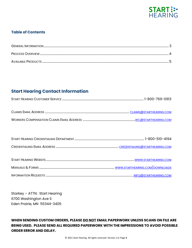

### **Table of Contents**

# **Start Hearing Contact Information**

Starkey - ATTN: Start Hearing 6700 Washington Ave S Eden Prairie, MN 55344-3405

WHEN SENDING CUSTOM ORDERS, PLEASE DO NOT EMAIL PAPERWORK UNLESS SCANS ON FILE ARE BEING USED. PLEASE SEND ALL REQUIRED PAPERWORK WITH THE IMPRESSIONS TO AVOID POSSIBLE **ORDER ERROR AND DELAY.**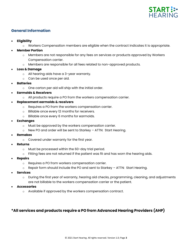

# **General Information**

- **Eligibility**
	- o Workers Compensation members are eligible when the contract indicates it is appropriate.
- **Member Portion**
	- o Members are not responsible for any fees on services or products approved by Workers Compensation carrier.
	- o Members are responsible for all fees related to non-approved products.
- **Loss & Damage**
	- o All hearing aids have a 3-year warranty.
	- o Can be used once per aid.
- **Batteries**
	- o One carton per aid will ship with the initial order.
- **Earmolds & Receivers**
	- o All products require a PO from the workers compensation carrier.
- **Replacement earmolds & receivers**
	- o Requires a PO from the workers compensation carrier.
	- o Billable once every 12 months for receivers.
	- o Billable once every 6 months for earmolds.
- **Exchanges**
	- o Must be approved by the workers compensation carrier.
	- o New PO and order will be sent to Starkey ATTN: Start Hearing.
- **Remakes**
	- o Covered under warranty for the first year.
- **Returns**
	- o Must be processed within the 60-day trial period.
	- $\circ$  Fitting fees are not returned if the patient was fit and has worn the hearing aids.
- **Repairs**
	- o Requires a PO from workers compensation carrier.
	- $\circ$  Repair form should include the PO and sent to Starkey ATTN: Start Hearing.
- **Services**
	- o During the first year of warranty, hearing aid checks, programming, cleaning, and adjustments are not billable to the workers compensation carrier or the patient.
- **Accessories**
	- o Available if approved by the workers compensation contract.

# **\*All services and products require a PO from Advanced Hearing Providers (AHP)**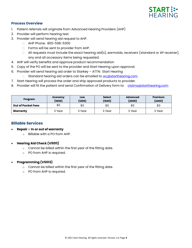

#### **Process Overview**

- 1. Patient referrals will originate from Advanced Hearing Providers (AHP)
- 2. Provider will perform hearing test.
- 3. Provider will send hearing aid request to AHP.
	- AHP Phone: 800-598-5300
	- □ Forms will be sent to provider from AHP.
	- $\Box$  All requests must include the exact hearing aid(s), earmolds, receivers (standard or AP receiver), any and all accessory items being requested.
- 4. AHP will verify benefits and approve product recommendation
- 5. Copy of the PO will be sent to the provider and Start Hearing upon approval.
- 6. Provider will send hearing aid order to Starkey ATTN: Start Hearing
	- □ Standard hearing aid orders can be emailed to [wc@starthearing.com](mailto:wc@starthearing.com)
- 7. Start Hearing will process the order and ship approved products to provider.
- 8. Provider will fit the patient and send Confirmation of Delivery form to: [claims@starthearing.com](mailto:claims@starthearing.com)

| Program                   | <b>Economy</b><br>(1000) | Low<br>(1200) | <b>Select</b><br>(1600) | <b>Advanced</b><br>(2000) | Premium<br>(2400) |
|---------------------------|--------------------------|---------------|-------------------------|---------------------------|-------------------|
| <b>Out of Pocket Fees</b> | \$0                      | \$0           | \$0                     | \$0                       | \$0               |
| Warranty                  | 3 Year                   | 3 Year        | 3 Year                  | 3 Year                    | 3 Year            |

#### **Billable Services**

- **Repair – In or out of warranty**
	- o Billable with a PO from AHP.

#### • **Hearing Aid Check (V5011)**

- o Cannot be billed within the first year of the fitting date.
- o PO from AHP is required.

#### • **Programming (V5013)**

- o Cannot be billed within the first year of the fitting date.
- o PO from AHP is required.